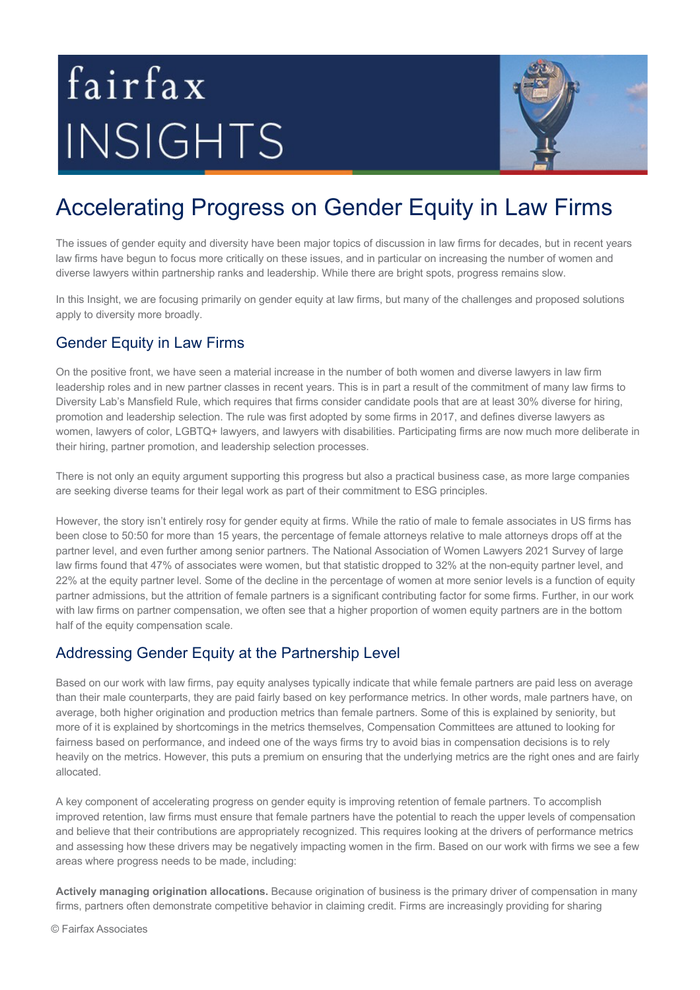# fairfax INSIGHTS



# Accelerating Progress on Gender Equity in Law Firms

The issues of gender equity and diversity have been major topics of discussion in law firms for decades, but in recent years law firms have begun to focus more critically on these issues, and in particular on increasing the number of women and diverse lawyers within partnership ranks and leadership. While there are bright spots, progress remains slow.

In this Insight, we are focusing primarily on gender equity at law firms, but many of the challenges and proposed solutions apply to diversity more broadly.

### Gender Equity in Law Firms

On the positive front, we have seen a material increase in the number of both women and diverse lawyers in law firm leadership roles and in new partner classes in recent years. This is in part a result of the commitment of many law firms to Diversity Lab's Mansfield Rule, which requires that firms consider candidate pools that are at least 30% diverse for hiring, promotion and leadership selection. The rule was first adopted by some firms in 2017, and defines diverse lawyers as women, lawyers of color, LGBTQ+ lawyers, and lawyers with disabilities. Participating firms are now much more deliberate in their hiring, partner promotion, and leadership selection processes.

There is not only an equity argument supporting this progress but also a practical business case, as more large companies are seeking diverse teams for their legal work as part of their commitment to ESG principles.

However, the story isn't entirely rosy for gender equity at firms. While the ratio of male to female associates in US firms has been close to 50:50 for more than 15 years, the percentage of female attorneys relative to male attorneys drops off at the partner level, and even further among senior partners. The National Association of Women Lawyers 2021 Survey of large law firms found that 47% of associates were women, but that statistic dropped to 32% at the non-equity partner level, and 22% at the equity partner level. Some of the decline in the percentage of women at more senior levels is a function of equity partner admissions, but the attrition of female partners is a significant contributing factor for some firms. Further, in our work with law firms on partner compensation, we often see that a higher proportion of women equity partners are in the bottom half of the equity compensation scale.

#### Addressing Gender Equity at the Partnership Level

Based on our work with law firms, pay equity analyses typically indicate that while female partners are paid less on average than their male counterparts, they are paid fairly based on key performance metrics. In other words, male partners have, on average, both higher origination and production metrics than female partners. Some of this is explained by seniority, but more of it is explained by shortcomings in the metrics themselves, Compensation Committees are attuned to looking for fairness based on performance, and indeed one of the ways firms try to avoid bias in compensation decisions is to rely heavily on the metrics. However, this puts a premium on ensuring that the underlying metrics are the right ones and are fairly allocated.

A key component of accelerating progress on gender equity is improving retention of female partners. To accomplish improved retention, law firms must ensure that female partners have the potential to reach the upper levels of compensation and believe that their contributions are appropriately recognized. This requires looking at the drivers of performance metrics and assessing how these drivers may be negatively impacting women in the firm. Based on our work with firms we see a few areas where progress needs to be made, including:

**Actively managing origination allocations.** Because origination of business is the primary driver of compensation in many firms, partners often demonstrate competitive behavior in claiming credit. Firms are increasingly providing for sharing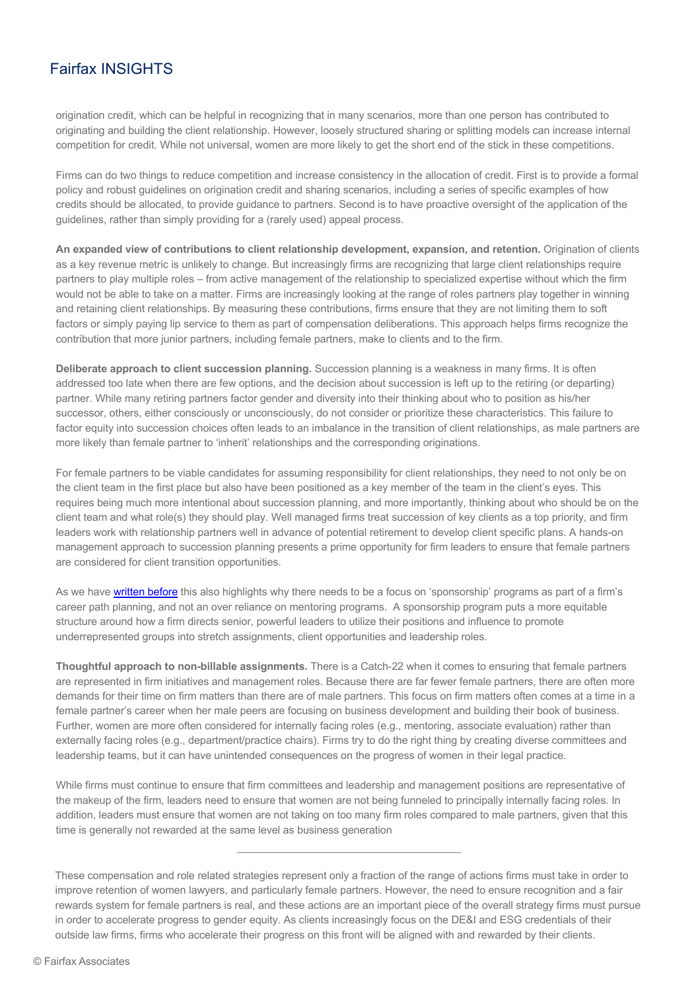## Fairfax INSIGHTS

origination credit, which can be helpful in recognizing that in many scenarios, more than one person has contributed to originating and building the client relationship. However, loosely structured sharing or splitting models can increase internal competition for credit. While not universal, women are more likely to get the short end of the stick in these competitions.

Firms can do two things to reduce competition and increase consistency in the allocation of credit. First is to provide a formal policy and robust guidelines on origination credit and sharing scenarios, including a series of specific examples of how credits should be allocated, to provide guidance to partners. Second is to have proactive oversight of the application of the guidelines, rather than simply providing for a (rarely used) appeal process.

**An expanded view of contributions to client relationship development, expansion, and retention.** Origination of clients as a key revenue metric is unlikely to change. But increasingly firms are recognizing that large client relationships require partners to play multiple roles – from active management of the relationship to specialized expertise without which the firm would not be able to take on a matter. Firms are increasingly looking at the range of roles partners play together in winning and retaining client relationships. By measuring these contributions, firms ensure that they are not limiting them to soft factors or simply paying lip service to them as part of compensation deliberations. This approach helps firms recognize the contribution that more junior partners, including female partners, make to clients and to the firm.

**Deliberate approach to client succession planning.** Succession planning is a weakness in many firms. It is often addressed too late when there are few options, and the decision about succession is left up to the retiring (or departing) partner. While many retiring partners factor gender and diversity into their thinking about who to position as his/her successor, others, either consciously or unconsciously, do not consider or prioritize these characteristics. This failure to factor equity into succession choices often leads to an imbalance in the transition of client relationships, as male partners are more likely than female partner to 'inherit' relationships and the corresponding originations.

For female partners to be viable candidates for assuming responsibility for client relationships, they need to not only be on the client team in the first place but also have been positioned as a key member of the team in the client's eyes. This requires being much more intentional about succession planning, and more importantly, thinking about who should be on the client team and what role(s) they should play. Well managed firms treat succession of key clients as a top priority, and firm leaders work with relationship partners well in advance of potential retirement to develop client specific plans. A hands-on management approach to succession planning presents a prime opportunity for firm leaders to ensure that female partners are considered for client transition opportunities.

As we have written before this also highlights why there needs to be a focus on 'sponsorship' programs as part of a firm's career path planning, and not an over reliance on mentoring programs. A sponsorship program puts a more equitable structure around how a firm directs senior, powerful leaders to utilize their positions and influence to promote underrepresented groups into stretch assignments, client opportunities and leadership roles.

**Thoughtful approach to non-billable assignments.** There is a Catch-22 when it comes to ensuring that female partners are represented in firm initiatives and management roles. Because there are far fewer female partners, there are often more demands for their time on firm matters than there are of male partners. This focus on firm matters often comes at a time in a female partner's career when her male peers are focusing on business development and building their book of business. Further, women are more often considered for internally facing roles (e.g., mentoring, associate evaluation) rather than externally facing roles (e.g., department/practice chairs). Firms try to do the right thing by creating diverse committees and leadership teams, but it can have unintended consequences on the progress of women in their legal practice.

While firms must continue to ensure that firm committees and leadership and management positions are representative of the makeup of the firm, leaders need to ensure that women are not being funneled to principally internally facing roles. In addition, leaders must ensure that women are not taking on too many firm roles compared to male partners, given that this time is generally not rewarded at the same level as business generation

These compensation and role related strategies represent only a fraction of the range of actions firms must take in order to improve retention of women lawyers, and particularly female partners. However, the need to ensure recognition and a fair rewards system for female partners is real, and these actions are an important piece of the overall strategy firms must pursue in order to accelerate progress to gender equity. As clients increasingly focus on the DE&I and ESG credentials of their outside law firms, firms who accelerate their progress on this front will be aligned with and rewarded by their clients.

 $\mathcal{L}_\text{max}$  and  $\mathcal{L}_\text{max}$  and  $\mathcal{L}_\text{max}$  and  $\mathcal{L}_\text{max}$